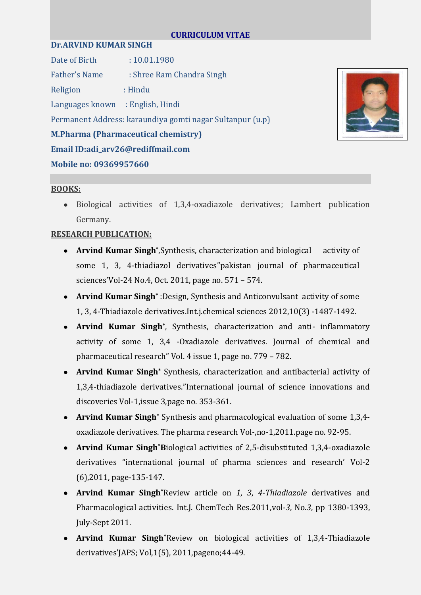### **CURRICULUM VITAE**

### **Dr.ARVIND KUMAR SINGH**

Date of Birth : 10.01.1980 Father's Name : Shree Ram Chandra Singh Religion : Hindu Languages known : English, Hindi Permanent Address: karaundiya gomti nagar Sultanpur (u.p) **M.Pharma (Pharmaceutical chemistry) Email ID:adi\_arv26@rediffmail.com Mobile no: 09369957660**



# **BOOKS:**

Biological activities of 1,3,4-oxadiazole derivatives; Lambert publication Germany.

# **RESEARCH PUBLICATION:**

- Arvind Kumar Singh<sup>\*</sup>, Synthesis, characterization and biological activity of some 1, 3, 4-thiadiazol derivatives"pakistan journal of pharmaceutical sciences'Vol-24 No.4, Oct. 2011, page no. 571 – 574.
- **Arvind Kumar Singh\*** :Design, Synthesis and Anticonvulsant activity of some 1, 3, 4-Thiadiazole derivatives.Int.j.chemical sciences 2012,10(3) -1487-1492.
- **Arvind Kumar Singh\*** , Synthesis, characterization and anti- inflammatory activity of some 1, 3,4 -Oxadiazole derivatives. Journal of chemical and pharmaceutical research" Vol. 4 issue 1, page no. 779 – 782.
- **Arvind Kumar Singh\*** Synthesis, characterization and antibacterial activity of 1,3,4-thiadiazole derivatives."International journal of science innovations and discoveries Vol-1,issue 3,page no. 353-361.
- **Arvind Kumar Singh\*** Synthesis and pharmacological evaluation of some 1,3,4 oxadiazole derivatives. The pharma research Vol-,no-1,2011.page no. 92-95.
- **Arvind Kumar Singh\*B**iological activities of 2,5-disubstituted 1,3,4-oxadiazole derivatives "international journal of pharma sciences and research' Vol-2 (6),2011, page-135-147.
- **Arvind Kumar Singh\***Review article on *1*, *3*, *4*-*Thiadiazole* derivatives and Pharmacological activities. Int.J. ChemTech Res.2011,vol-*3*, No.*3*, pp 1380-1393, July-Sept 2011.
- **Arvind Kumar Singh\***Review on biological activities of 1,3,4-Thiadiazole derivatives'JAPS; Vol,1(5), 2011,pageno;44-49.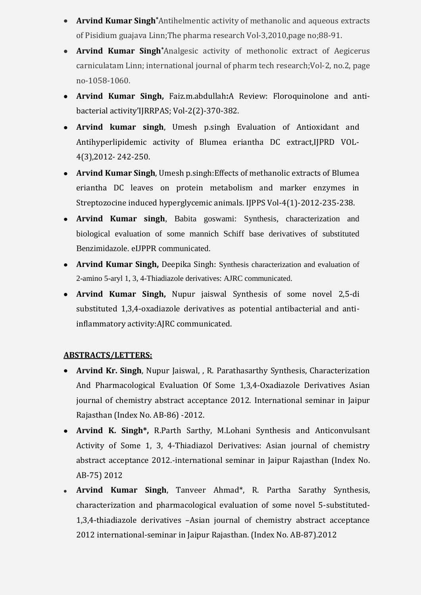- **Arvind Kumar Singh\***Antihelmentic activity of methanolic and aqueous extracts of Pisidium guajava Linn;The pharma research Vol-3,2010,page no;88-91.
- **Arvind Kumar Singh\***Analgesic activity of methonolic extract of Aegicerus carniculatam Linn; international journal of pharm tech research;Vol-2, no.2, page no-1058-1060.
- **Arvind Kumar Singh,** Faiz.m.abdullah**:**A Review: Floroquinolone and antibacterial activity'IJRRPAS; Vol-2(2)-370-382.
- **Arvind kumar singh**, Umesh p.singh Evaluation of Antioxidant and Antihyperlipidemic activity of Blumea eriantha DC extract,IJPRD VOL-4(3),2012- 242-250.
- **Arvind Kumar Singh**, Umesh p.singh:Effects of methanolic extracts of Blumea eriantha DC leaves on protein metabolism and marker enzymes in Streptozocine induced hyperglycemic animals. IJPPS Vol-4(1)-2012-235-238.
- **Arvind Kumar singh**, Babita goswami: Synthesis, characterization and biological evaluation of some mannich Schiff base derivatives of substituted Benzimidazole. eIJPPR communicated.
- **Arvind Kumar Singh,** Deepika Singh: Synthesis characterization and evaluation of 2-amino 5-aryl 1, 3, 4-Thiadiazole derivatives: AJRC communicated.
- **Arvind Kumar Singh,** Nupur jaiswal Synthesis of some novel 2,5-di substituted 1,3,4-oxadiazole derivatives as potential antibacterial and antiinflammatory activity:AJRC communicated.

# **ABSTRACTS/LETTERS:**

- **Arvind Kr. Singh**, Nupur Jaiswal, , R. Parathasarthy Synthesis, Characterization And Pharmacological Evaluation Of Some 1,3,4-Oxadiazole Derivatives Asian journal of chemistry abstract acceptance 2012. International seminar in Jaipur Rajasthan (Index No. AB-86) -2012.
- **Arvind K. Singh\*,** R.Parth Sarthy, M.Lohani Synthesis and Anticonvulsant Activity of Some 1, 3, 4-Thiadiazol Derivatives: Asian journal of chemistry abstract acceptance 2012.-international seminar in Jaipur Rajasthan (Index No. AB-75) 2012
- **Arvind Kumar Singh**, Tanveer Ahmad\*, R. Partha Sarathy Synthesis, characterization and pharmacological evaluation of some novel 5-substituted-1,3,4-thiadiazole derivatives –Asian journal of chemistry abstract acceptance 2012 international-seminar in Jaipur Rajasthan. (Index No. AB-87).2012